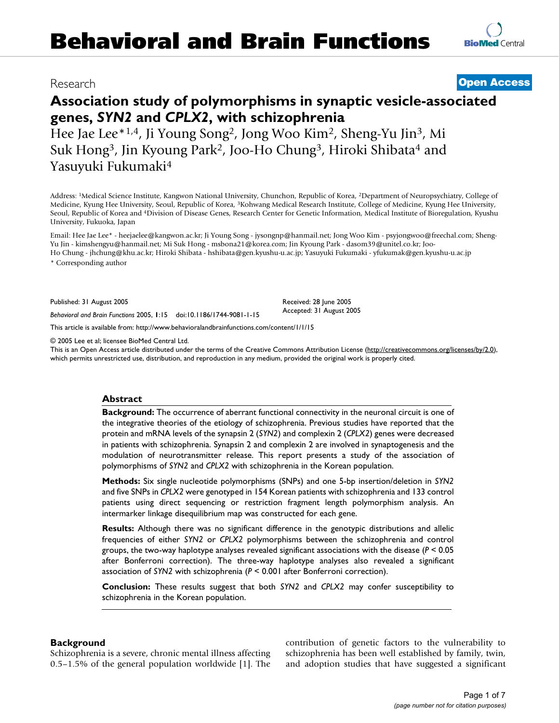# **Association study of polymorphisms in synaptic vesicle-associated genes,** *SYN2* **and** *CPLX2***, with schizophrenia**

Hee Jae Lee\*1,4, Ji Young Song2, Jong Woo Kim2, Sheng-Yu Jin3, Mi Suk Hong3, Jin Kyoung Park2, Joo-Ho Chung3, Hiroki Shibata4 and Yasuyuki Fukumaki4

Address: 1Medical Science Institute, Kangwon National University, Chunchon, Republic of Korea, 2Department of Neuropsychiatry, College of Medicine, Kyung Hee University, Seoul, Republic of Korea, 3Kohwang Medical Research Institute, College of Medicine, Kyung Hee University, Seoul, Republic of Korea and 4Division of Disease Genes, Research Center for Genetic Information, Medical Institute of Bioregulation, Kyushu University, Fukuoka, Japan

Email: Hee Jae Lee\* - heejaelee@kangwon.ac.kr; Ji Young Song - jysongnp@hanmail.net; Jong Woo Kim - psyjongwoo@freechal.com; Sheng-Yu Jin - kimshengyu@hanmail.net; Mi Suk Hong - msbona21@korea.com; Jin Kyoung Park - dasom39@unitel.co.kr; Joo-Ho Chung - jhchung@khu.ac.kr; Hiroki Shibata - hshibata@gen.kyushu-u.ac.jp; Yasuyuki Fukumaki - yfukumak@gen.kyushu-u.ac.jp

\* Corresponding author

Published: 31 August 2005

*Behavioral and Brain Functions* 2005, **1**:15 doi:10.1186/1744-9081-1-15

[This article is available from: http://www.behavioralandbrainfunctions.com/content/1/1/15](http://www.behavioralandbrainfunctions.com/content/1/1/15)

© 2005 Lee et al; licensee BioMed Central Ltd.

This is an Open Access article distributed under the terms of the Creative Commons Attribution License [\(http://creativecommons.org/licenses/by/2.0\)](http://creativecommons.org/licenses/by/2.0), which permits unrestricted use, distribution, and reproduction in any medium, provided the original work is properly cited.

Received: 28 June 2005 Accepted: 31 August 2005

#### **Abstract**

**Background:** The occurrence of aberrant functional connectivity in the neuronal circuit is one of the integrative theories of the etiology of schizophrenia. Previous studies have reported that the protein and mRNA levels of the synapsin 2 (*SYN2*) and complexin 2 (*CPLX2*) genes were decreased in patients with schizophrenia. Synapsin 2 and complexin 2 are involved in synaptogenesis and the modulation of neurotransmitter release. This report presents a study of the association of polymorphisms of *SYN2* and *CPLX2* with schizophrenia in the Korean population.

**Methods:** Six single nucleotide polymorphisms (SNPs) and one 5-bp insertion/deletion in *SYN2* and five SNPs in *CPLX2* were genotyped in 154 Korean patients with schizophrenia and 133 control patients using direct sequencing or restriction fragment length polymorphism analysis. An intermarker linkage disequilibrium map was constructed for each gene.

**Results:** Although there was no significant difference in the genotypic distributions and allelic frequencies of either *SYN2* or *CPLX2* polymorphisms between the schizophrenia and control groups, the two-way haplotype analyses revealed significant associations with the disease (*P* < 0.05 after Bonferroni correction). The three-way haplotype analyses also revealed a significant association of *SYN2* with schizophrenia (*P* < 0.001 after Bonferroni correction).

**Conclusion:** These results suggest that both *SYN2* and *CPLX2* may confer susceptibility to schizophrenia in the Korean population.

# **Background**

Schizophrenia is a severe, chronic mental illness affecting 0.5–1.5% of the general population worldwide [1]. The contribution of genetic factors to the vulnerability to schizophrenia has been well established by family, twin, and adoption studies that have suggested a significant

# Research **[Open Access](http://www.biomedcentral.com/info/about/charter/)**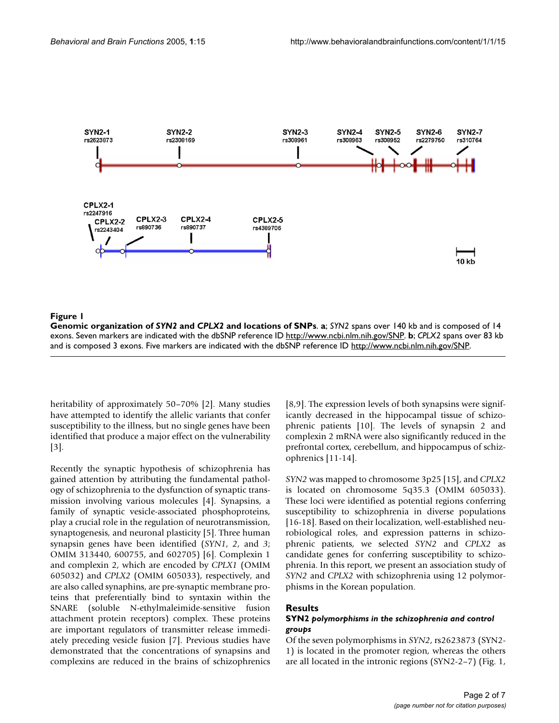

Figure 1

**Genomic organization of** *SYN2* **and** *CPLX2* **and locations of SNPs**. **a**; *SYN2* spans over 140 kb and is composed of 14 exons. Seven markers are indicated with the dbSNP reference ID [http://www.ncbi.nlm.nih.gov/SNP.](http://www.ncbi.nlm.nih.gov/SNP) **b**; *CPLX2* spans over 83 kb and is composed 3 exons. Five markers are indicated with the dbSNP reference ID <http://www.ncbi.nlm.nih.gov/SNP>.

heritability of approximately 50–70% [2]. Many studies have attempted to identify the allelic variants that confer susceptibility to the illness, but no single genes have been identified that produce a major effect on the vulnerability [3].

Recently the synaptic hypothesis of schizophrenia has gained attention by attributing the fundamental pathology of schizophrenia to the dysfunction of synaptic transmission involving various molecules [4]. Synapsins, a family of synaptic vesicle-associated phosphoproteins, play a crucial role in the regulation of neurotransmission, synaptogenesis, and neuronal plasticity [5]. Three human synapsin genes have been identified (*SYN1*, *2*, and *3*; OMIM 313440, 600755, and 602705) [6]. Complexin 1 and complexin 2, which are encoded by *CPLX1* (OMIM 605032) and *CPLX2* (OMIM 605033), respectively, and are also called synaphins, are pre-synaptic membrane proteins that preferentially bind to syntaxin within the SNARE (soluble N-ethylmaleimide-sensitive fusion attachment protein receptors) complex. These proteins are important regulators of transmitter release immediately preceding vesicle fusion [7]. Previous studies have demonstrated that the concentrations of synapsins and complexins are reduced in the brains of schizophrenics

[8,9]. The expression levels of both synapsins were significantly decreased in the hippocampal tissue of schizophrenic patients [10]. The levels of synapsin 2 and complexin 2 mRNA were also significantly reduced in the prefrontal cortex, cerebellum, and hippocampus of schizophrenics [11-14].

*SYN2* was mapped to chromosome 3p25 [15], and *CPLX2* is located on chromosome 5q35.3 (OMIM 605033). These loci were identified as potential regions conferring susceptibility to schizophrenia in diverse populations [16-18]. Based on their localization, well-established neurobiological roles, and expression patterns in schizophrenic patients, we selected *SYN2* and *CPLX2* as candidate genes for conferring susceptibility to schizophrenia. In this report, we present an association study of *SYN2* and *CPLX2* with schizophrenia using 12 polymorphisms in the Korean population.

### **Results**

### **SYN2** *polymorphisms in the schizophrenia and control groups*

Of the seven polymorphisms in *SYN2*, rs2623873 (SYN2- 1) is located in the promoter region, whereas the others are all located in the intronic regions (SYN2-2–7) (Fig. 1,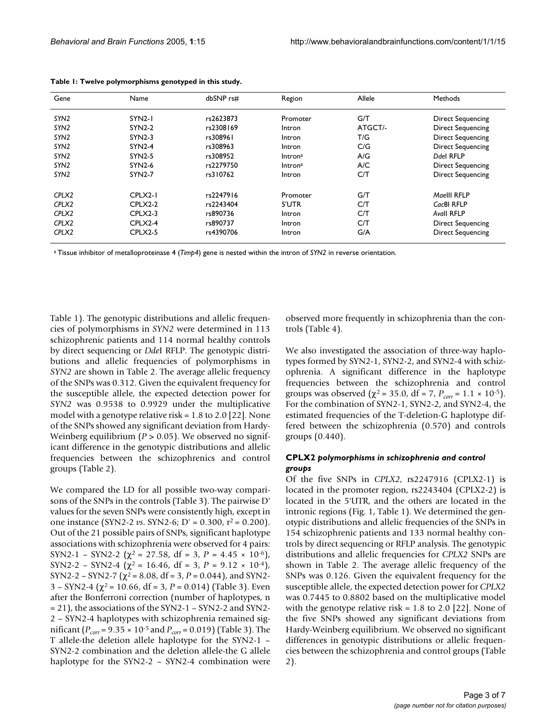| Gene              | Name          | dbSNP rs# | Region              | Allele  | Methods                  |
|-------------------|---------------|-----------|---------------------|---------|--------------------------|
| SYN <sub>2</sub>  | $SYN2-I$      | rs2623873 | Promoter            | G/T     | <b>Direct Sequencing</b> |
| SYN <sub>2</sub>  | SYN2-2        | rs2308169 | Intron              | ATGCT/- | <b>Direct Sequencing</b> |
| SYN <sub>2</sub>  | $SYN2-3$      | rs308961  | Intron              | T/G     | <b>Direct Sequencing</b> |
| SYN <sub>2</sub>  | $SYN2-4$      | rs308963  | Intron              | C/G     | <b>Direct Sequencing</b> |
| SYN <sub>2</sub>  | <b>SYN2-5</b> | rs308952  | Intron <sup>a</sup> | A/G     | Ddel RFLP                |
| SYN <sub>2</sub>  | SYN2-6        | rs2279750 | Intron <sup>a</sup> | A/C     | <b>Direct Sequencing</b> |
| SYN <sub>2</sub>  | SYN2-7        | rs310762  | Intron              | C/T     | <b>Direct Sequencing</b> |
| CPLX <sub>2</sub> | CPLX2-1       | rs2247916 | Promoter            | G/T     | Maelll RFLP              |
| CPLX <sub>2</sub> | $CPLX2-2$     | rs2243404 | 5'UTR               | C/T     | Cac8I RFLP               |
| CPLX <sub>2</sub> | $CPLX2-3$     | rs890736  | Intron              | C/T     | Avall RFLP               |
| CPLX2             | $CPLX2-4$     | rs890737  | Intron              | C/T     | <b>Direct Sequencing</b> |
| CPLX <sub>2</sub> | $CPLX2-5$     | rs4390706 | Intron              | G/A     | <b>Direct Sequencing</b> |

**Table 1: Twelve polymorphisms genotyped in this study.**

a Tissue inhibitor of metalloproteinase 4 (*Timp4*) gene is nested within the intron of *SYN2* in reverse orientation.

Table 1). The genotypic distributions and allelic frequencies of polymorphisms in *SYN2* were determined in 113 schizophrenic patients and 114 normal healthy controls by direct sequencing or *Dde*I RFLP. The genotypic distributions and allelic frequencies of polymorphisms in *SYN2* are shown in Table 2. The average allelic frequency of the SNPs was 0.312. Given the equivalent frequency for the susceptible allele, the expected detection power for *SYN2* was 0.9538 to 0.9929 under the multiplicative model with a genotype relative risk = 1.8 to 2.0 [22]. None of the SNPs showed any significant deviation from Hardy-Weinberg equilibrium ( $P > 0.05$ ). We observed no significant difference in the genotypic distributions and allelic frequencies between the schizophrenics and control groups (Table 2).

We compared the LD for all possible two-way comparisons of the SNPs in the controls (Table [3](#page-3-0)). The pairwise D' values for the seven SNPs were consistently high, except in one instance (SYN2-2 *vs*. SYN2-6; D' = 0.300, r2 = 0.200). Out of the 21 possible pairs of SNPs, significant haplotype associations with schizophrenia were observed for 4 pairs: SYN2-1 – SYN2-2 ( $\chi^2$  = 27.58, df = 3, P = 4.45  $\times$  10<sup>-6</sup>), SYN2-2 – SYN2-4 ( $\chi^2$  = 16.46, df = 3, P = 9.12 × 10<sup>-4</sup>), SYN2-2 – SYN2-7 ( $\chi^2$  = 8.08, df = 3, *P* = 0.044), and SYN2-3 – SYN2-4 ( $\chi^2$  = 10.66, df = 3, *P* = 0.014) (Table [3\)](#page-3-0). Even after the Bonferroni correction (number of haplotypes, n = 21), the associations of the SYN2-1 – SYN2-2 and SYN2- 2 – SYN2-4 haplotypes with schizophrenia remained significant (*P<sub>corr</sub>* = 9.35 × 10<sup>-5</sup> and *P<sub>corr</sub>* = 0.019) (Table [3](#page-3-0)). The T allele-the deletion allele haplotype for the SYN2-1 – SYN2-2 combination and the deletion allele-the G allele haplotype for the SYN2-2 – SYN2-4 combination were observed more frequently in schizophrenia than the controls (Table [4](#page-4-0)).

We also investigated the association of three-way haplotypes formed by SYN2-1, SYN2-2, and SYN2-4 with schizophrenia. A significant difference in the haplotype frequencies between the schizophrenia and control groups was observed ( $\chi^2$  = 35.0, df = 7,  $P_{corr}$  = 1.1 × 10<sup>-5</sup>). For the combination of SYN2-1, SYN2-2, and SYN2-4, the estimated frequencies of the T-deletion-G haplotype differed between the schizophrenia (0.570) and controls groups (0.440).

#### **CPLX2** *polymorphisms in schizophrenia and control groups*

Of the five SNPs in *CPLX2*, rs2247916 (CPLX2-1) is located in the promoter region, rs2243404 (CPLX2-2) is located in the 5'UTR, and the others are located in the intronic regions (Fig. 1, Table 1). We determined the genotypic distributions and allelic frequencies of the SNPs in 154 schizophrenic patients and 133 normal healthy controls by direct sequencing or RFLP analysis. The genotypic distributions and allelic frequencies for *CPLX2* SNPs are shown in Table 2. The average allelic frequency of the SNPs was 0.126. Given the equivalent frequency for the susceptible allele, the expected detection power for *CPLX2* was 0.7445 to 0.8802 based on the multiplicative model with the genotype relative risk =  $1.8$  to  $2.0$  [22]. None of the five SNPs showed any significant deviations from Hardy-Weinberg equilibrium. We observed no significant differences in genotypic distributions or allelic frequencies between the schizophrenia and control groups (Table 2).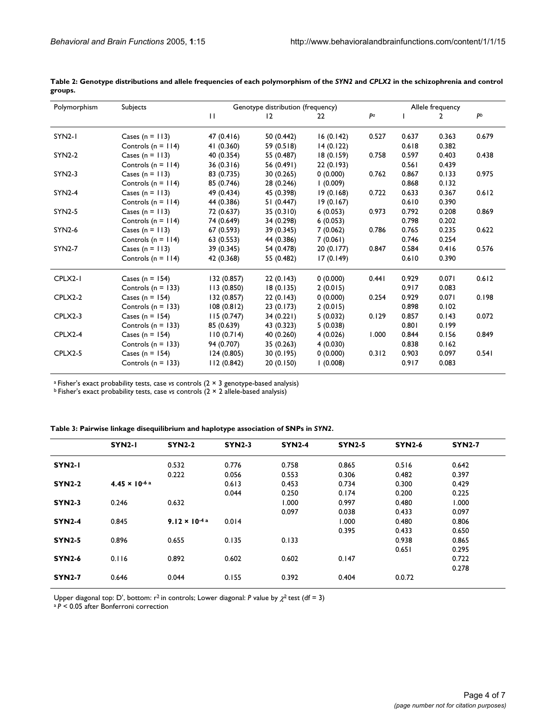| Polymorphism   | Subjects               |              | Genotype distribution (frequency) |            |       | Allele frequency |       |                |
|----------------|------------------------|--------------|-----------------------------------|------------|-------|------------------|-------|----------------|
|                |                        | $\mathbf{H}$ | 12                                | 22         | Pa    |                  | 2     | P <sub>b</sub> |
| SYN2-I         | Cases ( $n = 113$ )    | 47(0.416)    | 50 (0.442)                        | 16(0.142)  | 0.527 | 0.637            | 0.363 | 0.679          |
|                | Controls ( $n = 114$ ) | 41 (0.360)   | 59 (0.518)                        | 14(0.122)  |       | 0.618            | 0.382 |                |
| <b>SYN2-2</b>  | Cases ( $n = 113$ )    | 40 (0.354)   | 55 (0.487)                        | 18(0.159)  | 0.758 | 0.597            | 0.403 | 0.438          |
|                | Controls ( $n = 114$ ) | 36(0.316)    | 56 (0.491)                        | 22(0.193)  |       | 0.561            | 0.439 |                |
| SYN2-3         | Cases ( $n = 113$ )    | 83 (0.735)   | 30(0.265)                         | 0(0.000)   | 0.762 | 0.867            | 0.133 | 0.975          |
|                | Controls ( $n = 114$ ) | 85 (0.746)   | 28 (0.246)                        | (0.009)    |       | 0.868            | 0.132 |                |
| <b>SYN2-4</b>  | Cases ( $n = 113$ )    | 49 (0.434)   | 45 (0.398)                        | 19(0.168)  | 0.722 | 0.633            | 0.367 | 0.612          |
|                | Controls ( $n = 114$ ) | 44 (0.386)   | 51(0.447)                         | 19(0.167)  |       | 0.610            | 0.390 |                |
| SYN2-5         | Cases $(n = 113)$      | 72 (0.637)   | 35(0.310)                         | 6(0.053)   | 0.973 | 0.792            | 0.208 | 0.869          |
|                | Controls ( $n = 114$ ) | 74 (0.649)   | 34 (0.298)                        | 6(0.053)   |       | 0.798            | 0.202 |                |
| SYN2-6         | Cases ( $n = 113$ )    | 67 (0.593)   | 39 (0.345)                        | 7(0.062)   | 0.786 | 0.765            | 0.235 | 0.622          |
|                | Controls ( $n = 114$ ) | 63 (0.553)   | 44 (0.386)                        | 7(0.061)   |       | 0.746            | 0.254 |                |
| SYN2-7         | Cases $(n = 113)$      | 39 (0.345)   | 54 (0.478)                        | 20 (0.177) | 0.847 | 0.584            | 0.416 | 0.576          |
|                | Controls ( $n = 114$ ) | 42 (0.368)   | 55 (0.482)                        | 17(0.149)  |       | 0.610            | 0.390 |                |
| CPLX2-I        | Cases ( $n = 154$ )    | 132 (0.857)  | 22(0.143)                         | 0(0.000)   | 0.441 | 0.929            | 0.071 | 0.612          |
|                | Controls ( $n = 133$ ) | 113(0.850)   | 18(0.135)                         | 2(0.015)   |       | 0.917            | 0.083 |                |
| <b>CPLX2-2</b> | Cases ( $n = 154$ )    | 132 (0.857)  | 22(0.143)                         | 0(0.000)   | 0.254 | 0.929            | 0.071 | 0.198          |
|                | Controls ( $n = 133$ ) | 108(0.812)   | 23(0.173)                         | 2(0.015)   |       | 0.898            | 0.102 |                |
| $CPLX2-3$      | Cases ( $n = 154$ )    | 115(0.747)   | 34(0.221)                         | 5(0.032)   | 0.129 | 0.857            | 0.143 | 0.072          |
|                | Controls ( $n = 133$ ) | 85 (0.639)   | 43 (0.323)                        | 5(0.038)   |       | 0.801            | 0.199 |                |
| $CPLX2-4$      | Cases ( $n = 154$ )    | 110(0.714)   | 40 (0.260)                        | 4(0.026)   | 1.000 | 0.844            | 0.156 | 0.849          |
|                | Controls ( $n = 133$ ) | 94 (0.707)   | 35(0.263)                         | 4(0.030)   |       | 0.838            | 0.162 |                |
| CPLX2-5        | Cases ( $n = 154$ )    | 124(0.805)   | 30(0.195)                         | 0(0.000)   | 0.312 | 0.903            | 0.097 | 0.541          |
|                | Controls ( $n = 133$ ) | 112(0.842)   | 20(0.150)                         | (0.008)    |       | 0.917            | 0.083 |                |

**Table 2: Genotype distributions and allele frequencies of each polymorphism of the** *SYN2* **and** *CPLX2* **in the schizophrenia and control groups.**

a Fisher's exact probability tests, case *vs* controls (2 × 3 genotype-based analysis)

b Fisher's exact probability tests, case *vs* controls (2 × 2 allele-based analysis)

<span id="page-3-0"></span>**Table 3: Pairwise linkage disequilibrium and haplotype association of SNPs in** *SYN2***.**

|               | <b>SYN2-1</b>           | <b>SYN2-2</b>           | <b>SYN2-3</b> | <b>SYN2-4</b> | <b>SYN2-5</b> | <b>SYN2-6</b> | <b>SYN2-7</b> |
|---------------|-------------------------|-------------------------|---------------|---------------|---------------|---------------|---------------|
| SYN2-I        |                         | 0.532                   | 0.776         | 0.758         | 0.865         | 0.516         | 0.642         |
|               |                         | 0.222                   | 0.056         | 0.553         | 0.306         | 0.482         | 0.397         |
| <b>SYN2-2</b> | $4.45 \times 10^{-6}$ a |                         | 0.613         | 0.453         | 0.734         | 0.300         | 0.429         |
|               |                         |                         | 0.044         | 0.250         | 0.174         | 0.200         | 0.225         |
| <b>SYN2-3</b> | 0.246                   | 0.632                   |               | 1.000         | 0.997         | 0.480         | 1.000         |
|               |                         |                         |               | 0.097         | 0.038         | 0.433         | 0.097         |
| <b>SYN2-4</b> | 0.845                   | $9.12 \times 10^{-4}$ a | 0.014         |               | 1.000         | 0.480         | 0.806         |
|               |                         |                         |               |               | 0.395         | 0.433         | 0.650         |
| <b>SYN2-5</b> | 0.896                   | 0.655                   | 0.135         | 0.133         |               | 0.938         | 0.865         |
|               |                         |                         |               |               |               | 0.651         | 0.295         |
| <b>SYN2-6</b> | 0.116                   | 0.892                   | 0.602         | 0.602         | 0.147         |               | 0.722         |
|               |                         |                         |               |               |               |               | 0.278         |
| <b>SYN2-7</b> | 0.646                   | 0.044                   | 0.155         | 0.392         | 0.404         | 0.0.72        |               |

Upper diagonal top: D', bottom: r<sup>2</sup> in controls; Lower diagonal: P value by  $\chi^2$  test (df = 3)

a *P* < 0.05 after Bonferroni correction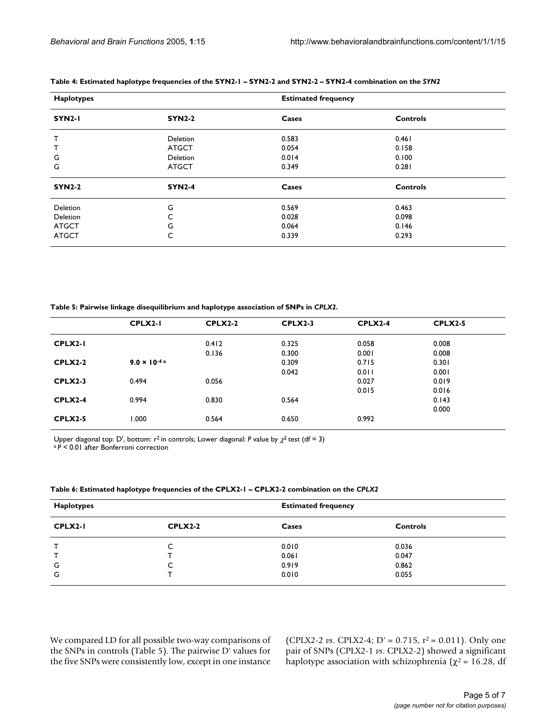| <b>Haplotypes</b> |                 | <b>Estimated frequency</b> |                 |  |
|-------------------|-----------------|----------------------------|-----------------|--|
| <b>SYN2-1</b>     | <b>SYN2-2</b>   | Cases                      | <b>Controls</b> |  |
| т                 | <b>Deletion</b> | 0.583                      | 0.461           |  |
| т                 | <b>ATGCT</b>    | 0.054                      | 0.158           |  |
| G                 | Deletion        | 0.014                      | 0.100           |  |
| G                 | <b>ATGCT</b>    | 0.349                      | 0.281           |  |
| <b>SYN2-2</b>     | <b>SYN2-4</b>   | Cases                      | <b>Controls</b> |  |
| Deletion          | G               | 0.569                      | 0.463           |  |
| Deletion          | C               | 0.028                      | 0.098           |  |
| <b>ATGCT</b>      | G               | 0.064                      | 0.146           |  |
| <b>ATGCT</b>      | C               | 0.339                      | 0.293           |  |

#### <span id="page-4-0"></span>**Table 4: Estimated haplotype frequencies of the SYN2-1 – SYN2-2 and SYN2-2 – SYN2-4 combination on the** *SYN2*

<span id="page-4-1"></span>**Table 5: Pairwise linkage disequilibrium and haplotype association of SNPs in** *CPLX2***.**

|           | CPLX2-I                | $CPLX2-2$ | $CPLX2-3$ | $CPLX2-4$ | $CPLX2-5$ |
|-----------|------------------------|-----------|-----------|-----------|-----------|
| CPLX2-I   |                        | 0.412     | 0.325     | 0.058     | 0.008     |
|           |                        | 0.136     | 0.300     | 0.001     | 0.008     |
| $CPLX2-2$ | $9.0 \times 10^{-4}$ a |           | 0.309     | 0.715     | 0.301     |
|           |                        |           | 0.042     | 0.011     | 0.001     |
| $CPLX2-3$ | 0.494                  | 0.056     |           | 0.027     | 0.019     |
|           |                        |           |           | 0.015     | 0.016     |
| $CPLX2-4$ | 0.994                  | 0.830     | 0.564     |           | 0.143     |
|           |                        |           |           |           | 0.000     |
| $CPLX2-5$ | 1.000                  | 0.564     | 0.650     | 0.992     |           |

Upper diagonal top: D', bottom:  $r^2$  in controls; Lower diagonal: P value by  $\chi^2$  test (df = 3)

<sup>a</sup>*P* < 0.01 after Bonferroni correction

<span id="page-4-2"></span>

|  | Table 6: Estimated haplotype frequencies of the CPLX2-1 – CPLX2-2 combination on the CPLX2 |  |  |
|--|--------------------------------------------------------------------------------------------|--|--|
|  |                                                                                            |  |  |

| Haplotypes     |           | <b>Estimated frequency</b> |                 |
|----------------|-----------|----------------------------|-----------------|
| <b>CPLX2-1</b> | $CPLX2-2$ | Cases                      | <b>Controls</b> |
|                |           | 0.010                      | 0.036           |
|                |           | 0.061                      | 0.047           |
| G              |           | 0.919                      | 0.862           |
| G              |           | 0.010                      | 0.055           |

We compared LD for all possible two-way comparisons of the SNPs in controls (Table [5](#page-4-1)). The pairwise D' values for the five SNPs were consistently low, except in one instance (CPLX2-2 *vs*. CPLX2-4;  $D' = 0.715$ ,  $r^2 = 0.011$ ). Only one pair of SNPs (CPLX2-1 *vs*. CPLX2-2) showed a significant haplotype association with schizophrenia ( $\chi^2$  = 16.28, df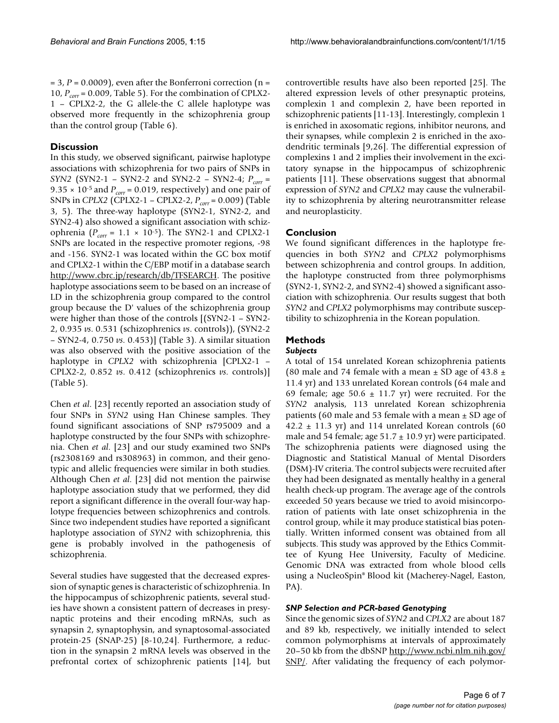$= 3$ , *P* = 0.0009), even after the Bonferroni correction (n = 10,  $P_{corr}$  = 0.009, Table [5\)](#page-4-1). For the combination of CPLX2-1 – CPLX2-2, the G allele-the C allele haplotype was observed more frequently in the schizophrenia group than the control group (Table [6](#page-4-2)).

# **Discussion**

In this study, we observed significant, pairwise haplotype associations with schizophrenia for two pairs of SNPs in *SYN2* (SYN2-1 – SYN2-2 and SYN2-2 – SYN2-4;  $P_{corr}$  =  $9.35 \times 10^{-5}$  and  $P_{corr}$  = 0.019, respectively) and one pair of SNPs in *CPLX2* (CPLX2-1 – CPLX2-2,  $P_{corr}$  = 0.009) (Table [3,](#page-3-0) [5](#page-4-1)). The three-way haplotype (SYN2-1, SYN2-2, and SYN2-4) also showed a significant association with schizophrenia ( $P_{corr}$  = 1.1 × 10<sup>-5</sup>). The SYN2-1 and CPLX2-1 SNPs are located in the respective promoter regions, -98 and -156. SYN2-1 was located within the GC box motif and CPLX2-1 within the C/EBP motif in a database search [http://www.cbrc.jp/research/db/TFSEARCH.](http://www.cbrc.jp/research/db/TFSEARCH) The positive haplotype associations seem to be based on an increase of LD in the schizophrenia group compared to the control group because the D' values of the schizophrenia group were higher than those of the controls [(SYN2-1 – SYN2- 2, 0.935 *vs*. 0.531 (schizophrenics *vs*. controls)), (SYN2-2 – SYN2-4, 0.750 *vs*. 0.453)] (Table [3\)](#page-3-0). A similar situation was also observed with the positive association of the haplotype in *CPLX2* with schizophrenia [CPLX2-1 – CPLX2-2, 0.852 *vs*. 0.412 (schizophrenics *vs*. controls)] (Table [5\)](#page-4-1).

Chen *et al*. [23] recently reported an association study of four SNPs in *SYN2* using Han Chinese samples. They found significant associations of SNP rs795009 and a haplotype constructed by the four SNPs with schizophrenia. Chen *et al*. [23] and our study examined two SNPs (rs2308169 and rs308963) in common, and their genotypic and allelic frequencies were similar in both studies. Although Chen *et al*. [23] did not mention the pairwise haplotype association study that we performed, they did report a significant difference in the overall four-way haplotype frequencies between schizophrenics and controls. Since two independent studies have reported a significant haplotype association of *SYN2* with schizophrenia, this gene is probably involved in the pathogenesis of schizophrenia.

Several studies have suggested that the decreased expression of synaptic genes is characteristic of schizophrenia. In the hippocampus of schizophrenic patients, several studies have shown a consistent pattern of decreases in presynaptic proteins and their encoding mRNAs, such as synapsin 2, synaptophysin, and synaptosomal-associated protein-25 (SNAP-25) [8-10,24]. Furthermore, a reduction in the synapsin 2 mRNA levels was observed in the prefrontal cortex of schizophrenic patients [14], but controvertible results have also been reported [25]. The altered expression levels of other presynaptic proteins, complexin 1 and complexin 2, have been reported in schizophrenic patients [11-13]. Interestingly, complexin 1 is enriched in axosomatic regions, inhibitor neurons, and their synapses, while complexin 2 is enriched in the axodendritic terminals [9,26]. The differential expression of complexins 1 and 2 implies their involvement in the excitatory synapse in the hippocampus of schizophrenic patients [11]. These observations suggest that abnormal expression of *SYN2* and *CPLX2* may cause the vulnerability to schizophrenia by altering neurotransmitter release and neuroplasticity.

# **Conclusion**

We found significant differences in the haplotype frequencies in both *SYN2* and *CPLX2* polymorphisms between schizophrenia and control groups. In addition, the haplotype constructed from three polymorphisms (SYN2-1, SYN2-2, and SYN2-4) showed a significant association with schizophrenia. Our results suggest that both *SYN2* and *CPLX2* polymorphisms may contribute susceptibility to schizophrenia in the Korean population.

# **Methods**

#### *Subjects*

A total of 154 unrelated Korean schizophrenia patients (80 male and 74 female with a mean  $\pm$  SD age of 43.8  $\pm$ 11.4 yr) and 133 unrelated Korean controls (64 male and 69 female; age 50.6  $\pm$  11.7 yr) were recruited. For the *SYN2* analysis, 113 unrelated Korean schizophrenia patients (60 male and 53 female with a mean  $\pm$  SD age of  $42.2 \pm 11.3$  yr) and 114 unrelated Korean controls (60 male and 54 female; age  $51.7 \pm 10.9$  yr) were participated. The schizophrenia patients were diagnosed using the Diagnostic and Statistical Manual of Mental Disorders (DSM)-IV criteria. The control subjects were recruited after they had been designated as mentally healthy in a general health check-up program. The average age of the controls exceeded 50 years because we tried to avoid misincorporation of patients with late onset schizophrenia in the control group, while it may produce statistical bias potentially. Written informed consent was obtained from all subjects. This study was approved by the Ethics Committee of Kyung Hee University, Faculty of Medicine. Genomic DNA was extracted from whole blood cells using a NucleoSpin® Blood kit (Macherey-Nagel, Easton, PA).

### *SNP Selection and PCR-based Genotyping*

Since the genomic sizes of *SYN2* and *CPLX2* are about 187 and 89 kb, respectively, we initially intended to select common polymorphisms at intervals of approximately 20–50 kb from the dbSNP [http://www.ncbi.nlm.nih.gov/](http://www.ncbi.nlm.nih.gov/SNP/) [SNP/.](http://www.ncbi.nlm.nih.gov/SNP/) After validating the frequency of each polymor